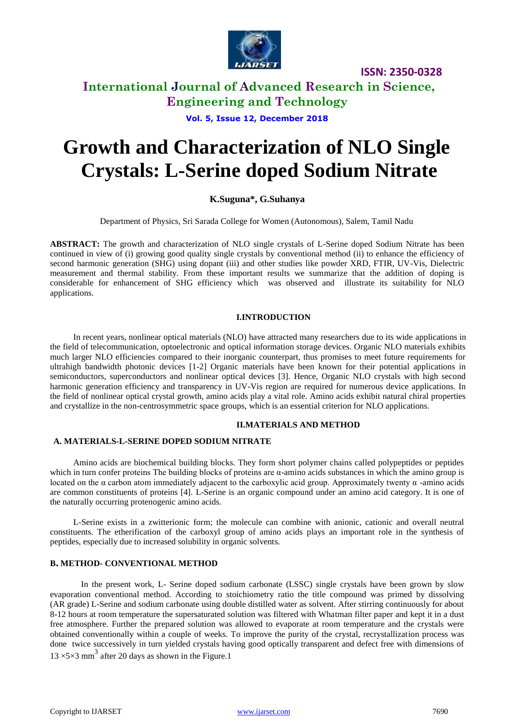

# **International Journal of Advanced Research in Science, Engineering and Technology**

# **Vol. 5, Issue 12, December 2018**

# **Growth and Characterization of NLO Single Crystals: L-Serine doped Sodium Nitrate**

# **K.Suguna\*, G.Suhanya**

Department of Physics, Sri Sarada College for Women (Autonomous), Salem, Tamil Nadu

**ABSTRACT:** The growth and characterization of NLO single crystals of L-Serine doped Sodium Nitrate has been continued in view of (i) growing good quality single crystals by conventional method (ii) to enhance the efficiency of second harmonic generation (SHG) using dopant (iii) and other studies like powder XRD, FTIR, UV-Vis, Dielectric measurement and thermal stability. From these important results we summarize that the addition of doping is considerable for enhancement of SHG efficiency which was observed and illustrate its suitability for NLO applications.

## **I.INTRODUCTION**

In recent years, nonlinear optical materials (NLO) have attracted many researchers due to its wide applications in the field of telecommunication, optoelectronic and optical information storage devices. Organic NLO materials exhibits much larger NLO efficiencies compared to their inorganic counterpart, thus promises to meet future requirements for ultrahigh bandwidth photonic devices [1-2] Organic materials have been known for their potential applications in semiconductors, superconductors and nonlinear optical devices [3]. Hence, Organic NLO crystals with high second harmonic generation efficiency and transparency in UV-Vis region are required for numerous device applications. In the field of nonlinear optical crystal growth, amino acids play a vital role. Amino acids exhibit natural chiral properties and crystallize in the non-centrosymmetric space groups, which is an essential criterion for NLO applications.

# **II.MATERIALS AND METHOD**

## **A. MATERIALS-L-SERINE DOPED SODIUM NITRATE**

Amino acids are biochemical building blocks. They form short polymer chains called polypeptides or peptides which in turn confer proteins The building blocks of proteins are  $\alpha$ -amino acids substances in which the amino group is located on the α carbon atom immediately adjacent to the carboxylic acid group. Approximately twenty α -amino acids are common constituents of proteins [4]. L-Serine is an organic compound under an amino acid category. It is one of the naturally occurring protenogenic amino acids.

L-Serine exists in a zwitterionic form; the molecule can combine with anionic, cationic and overall neutral constituents. The etherification of the carboxyl group of amino acids plays an important role in the synthesis of peptides, especially due to increased solubility in organic solvents.

# **B. METHOD- CONVENTIONAL METHOD**

In the present work, L- Serine doped sodium carbonate (LSSC) single crystals have been grown by slow evaporation conventional method. According to stoichiometry ratio the title compound was primed by dissolving (AR grade) L-Serine and sodium carbonate using double distilled water as solvent. After stirring continuously for about 8-12 hours at room temperature the supersaturated solution was filtered with Whatman filter paper and kept it in a dust free atmosphere. Further the prepared solution was allowed to evaporate at room temperature and the crystals were obtained conventionally within a couple of weeks. To improve the purity of the crystal, recrystallization process was done twice successively in turn yielded crystals having good optically transparent and defect free with dimensions of  $13 \times 5 \times 3$  mm<sup>3</sup> after 20 days as shown in the Figure.1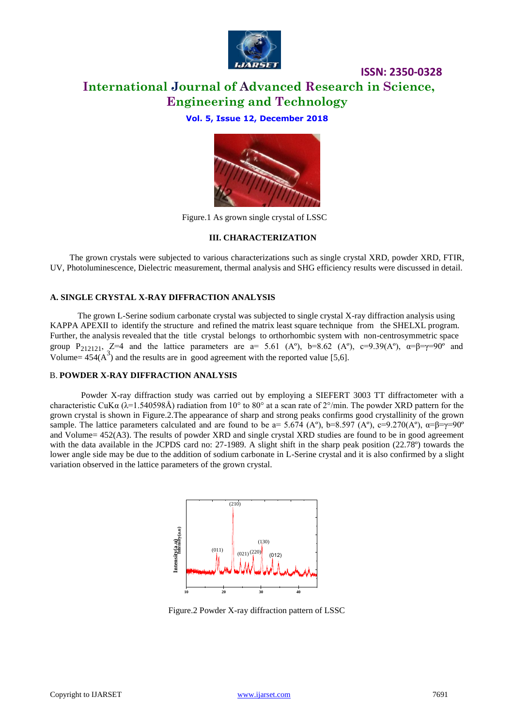

# **International Journal of Advanced Research in Science, Engineering and Technology**

**Vol. 5, Issue 12, December 2018**



Figure.1 As grown single crystal of LSSC

## **III. CHARACTERIZATION**

The grown crystals were subjected to various characterizations such as single crystal XRD, powder XRD, FTIR, UV, Photoluminescence, Dielectric measurement, thermal analysis and SHG efficiency results were discussed in detail.

# **A. SINGLE CRYSTAL X-RAY DIFFRACTION ANALYSIS**

The grown L-Serine sodium carbonate crystal was subjected to single crystal X-ray diffraction analysis using KAPPA APEXII to identify the structure and refined the matrix least square technique from the SHELXL program. Further, the analysis revealed that the title crystal belongs to orthorhombic system with non-centrosymmetric space group P<sub>212121</sub>, Z=4 and the lattice parameters are a= 5.61 (A°), b=8.62 (A°), c=9.39(A°),  $\alpha = \beta = \gamma = 90^\circ$  and Volume=  $454(A^3)$  and the results are in good agreement with the reported value [5,6].

## B. **POWDER X-RAY DIFFRACTION ANALYSIS**

Powder X-ray diffraction study was carried out by employing a SIEFERT 3003 TT diffractometer with a characteristic CuK $\alpha$  ( $\lambda$ =1.540598Å) radiation from 10° to 80° at a scan rate of 2°/min. The powder XRD pattern for the grown crystal is shown in Figure.2.The appearance of sharp and strong peaks confirms good crystallinity of the grown sample. The lattice parameters calculated and are found to be a= 5.674 (A°), b=8.597 (A°), c=9.270(A°),  $\alpha$ = $\beta$ = $\gamma$ =90° and Volume= 452(A3). The results of powder XRD and single crystal XRD studies are found to be in good agreement with the data available in the JCPDS card no: 27-1989. A slight shift in the sharp peak position (22.78°) towards the lower angle side may be due to the addition of sodium carbonate in L-Serine crystal and it is also confirmed by a slight variation observed in the lattice parameters of the grown crystal.



Figure.2 Powder X-ray diffraction pattern of LSSC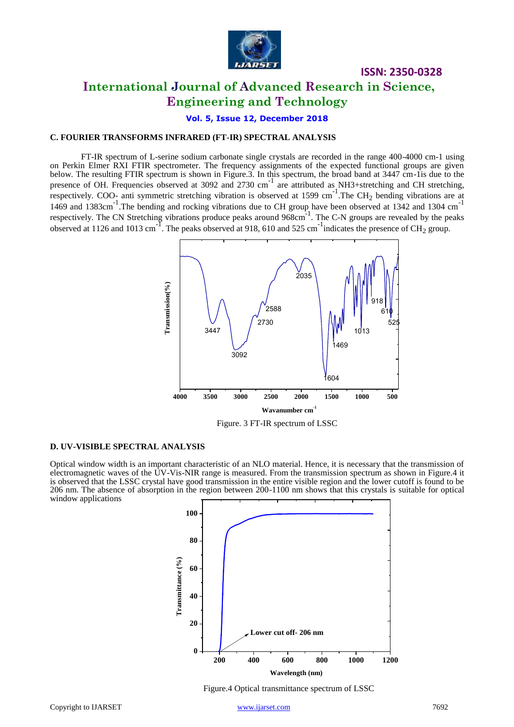

# **International Journal of Advanced Research in Science, Engineering and Technology**

**Vol. 5, Issue 12, December 2018**

#### **C. FOURIER TRANSFORMS INFRARED (FT-IR) SPECTRAL ANALYSIS**

FT-IR spectrum of L-serine sodium carbonate single crystals are recorded in the range 400-4000 cm-1 using on Perkin Elmer RXI FTIR spectrometer. The frequency assignments of the expected functional groups are given below. The resulting FTIR spectrum is shown in Figure.3. In this spectrum, the broad band at 3447 cm-1is due to the presence of OH. Frequencies observed at 3092 and 2730 cm<sup>-1</sup> are attributed as NH3+stretching and CH stretching, respectively. COO<sub>-</sub> anti symmetric stretching vibration is observed at 1599 cm<sup>-1</sup>. The CH<sub>2</sub> bending vibrations are at 1469 and 1383cm<sup>-1</sup>. The bending and rocking vibrations due to CH group have been observed at 1342 and 1304 cm<sup>-1</sup> respectively. The CN Stretching vibrations produce peaks around 968cm<sup>-1</sup>. The C-N groups are revealed by the peaks observed at 1126 and 1013 cm<sup>-1</sup>. The peaks observed at 918, 610 and 525 cm<sup>-1</sup> indicates the presence of CH<sub>2</sub> group.



Figure. 3 FT-IR spectrum of LSSC

# **D. UV-VISIBLE SPECTRAL ANALYSIS**

Optical window width is an important characteristic of an NLO material. Hence, it is necessary that the transmission of electromagnetic waves of the UV-Vis-NIR range is measured. From the transmission spectrum as shown in Figure.4 it is observed that the LSSC crystal have good transmission in the entire visible region and the lower cutoff is found to be 206 nm. The absence of absorption in the region between 200-1100 nm shows that this crystals is suitable for optical window applications



Figure.4 Optical transmittance spectrum of LSSC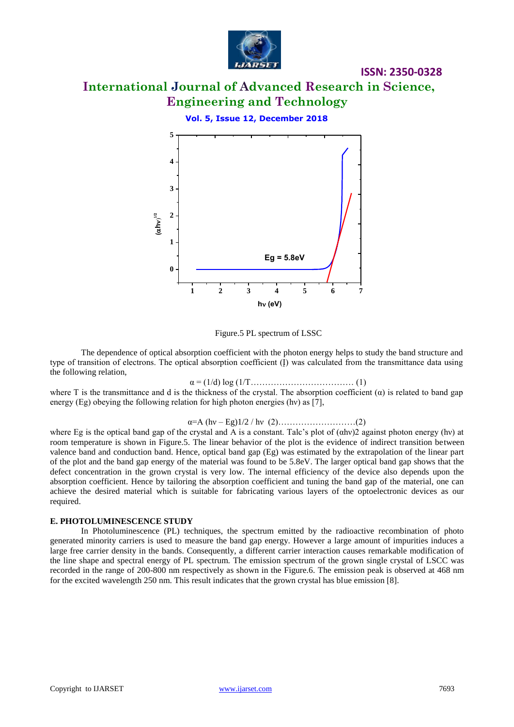

# **International Journal of Advanced Research in Science, Engineering and Technology**

**Vol. 5, Issue 12, December 2018**



Figure.5 PL spectrum of LSSC

The dependence of optical absorption coefficient with the photon energy helps to study the band structure and type of transition of electrons. The optical absorption coefficient  $(I)$  was calculated from the transmittance data using the following relation,

 $\alpha = (1/d) \log (1/T...$  [1] [1] [1] [1] [1] [1]  $(1)$ 

where T is the transmittance and d is the thickness of the crystal. The absorption coefficient  $(\alpha)$  is related to band gap energy (Eg) obeying the following relation for high photon energies (hv) as [7],

α=A (hν – Eg)1/2 / hν (2)………………………(2)

where Eg is the optical band gap of the crystal and A is a constant. Talc's plot of (αhν)2 against photon energy (hν) at room temperature is shown in Figure.5. The linear behavior of the plot is the evidence of indirect transition between valence band and conduction band. Hence, optical band gap (Eg) was estimated by the extrapolation of the linear part of the plot and the band gap energy of the material was found to be 5.8eV. The larger optical band gap shows that the defect concentration in the grown crystal is very low. The internal efficiency of the device also depends upon the absorption coefficient. Hence by tailoring the absorption coefficient and tuning the band gap of the material, one can achieve the desired material which is suitable for fabricating various layers of the optoelectronic devices as our required.

# **E. PHOTOLUMINESCENCE STUDY**

In Photoluminescence (PL) techniques, the spectrum emitted by the radioactive recombination of photo generated minority carriers is used to measure the band gap energy. However a large amount of impurities induces a large free carrier density in the bands. Consequently, a different carrier interaction causes remarkable modification of the line shape and spectral energy of PL spectrum. The emission spectrum of the grown single crystal of LSCC was recorded in the range of 200-800 nm respectively as shown in the Figure.6. The emission peak is observed at 468 nm for the excited wavelength 250 nm. This result indicates that the grown crystal has blue emission [8].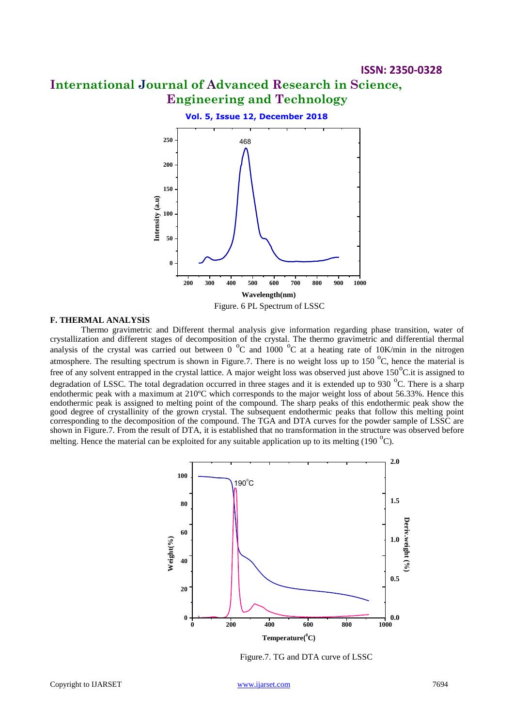# **International Journal of Advanced Research in Science, Engineering and Technology**



### **F. THERMAL ANALYSIS**

Thermo gravimetric and Different thermal analysis give information regarding phase transition, water of crystallization and different stages of decomposition of the crystal. The thermo gravimetric and differential thermal analysis of the crystal was carried out between 0  $\degree$ C and 1000  $\degree$ C at a heating rate of 10K/min in the nitrogen atmosphere. The resulting spectrum is shown in Figure.7. There is no weight loss up to 150  $^{\circ}$ C, hence the material is free of any solvent entrapped in the crystal lattice. A major weight loss was observed just above  $150^{\circ}$ C.it is assigned to degradation of LSSC. The total degradation occurred in three stages and it is extended up to 930  $^{\circ}$ C. There is a sharp endothermic peak with a maximum at 210ºC which corresponds to the major weight loss of about 56.33%. Hence this endothermic peak is assigned to melting point of the compound. The sharp peaks of this endothermic peak show the good degree of crystallinity of the grown crystal. The subsequent endothermic peaks that follow this melting point corresponding to the decomposition of the compound. The TGA and DTA curves for the powder sample of LSSC are shown in Figure.7. From the result of DTA, it is established that no transformation in the structure was observed before melting. Hence the material can be exploited for any suitable application up to its melting (190 $^{\circ}$ C).



Figure.7. TG and DTA curve of LSSC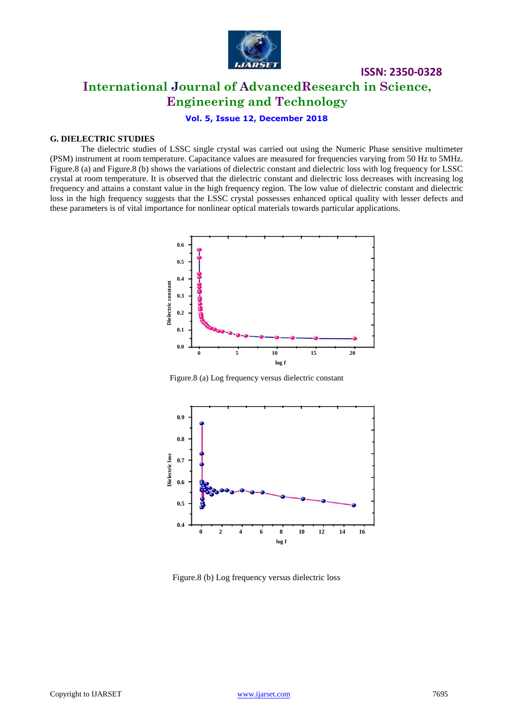

# **International Journal of AdvancedResearch in Science, Engineering and Technology**

# **Vol. 5, Issue 12, December 2018**

## **G. DIELECTRIC STUDIES**

The dielectric studies of LSSC single crystal was carried out using the Numeric Phase sensitive multimeter (PSM) instrument at room temperature. Capacitance values are measured for frequencies varying from 50 Hz to 5MHz. Figure.8 (a) and Figure.8 (b) shows the variations of dielectric constant and dielectric loss with log frequency for LSSC crystal at room temperature. It is observed that the dielectric constant and dielectric loss decreases with increasing log frequency and attains a constant value in the high frequency region. The low value of dielectric constant and dielectric loss in the high frequency suggests that the LSSC crystal possesses enhanced optical quality with lesser defects and these parameters is of vital importance for nonlinear optical materials towards particular applications.



Figure.8 (a) Log frequency versus dielectric constant



Figure.8 (b) Log frequency versus dielectric loss